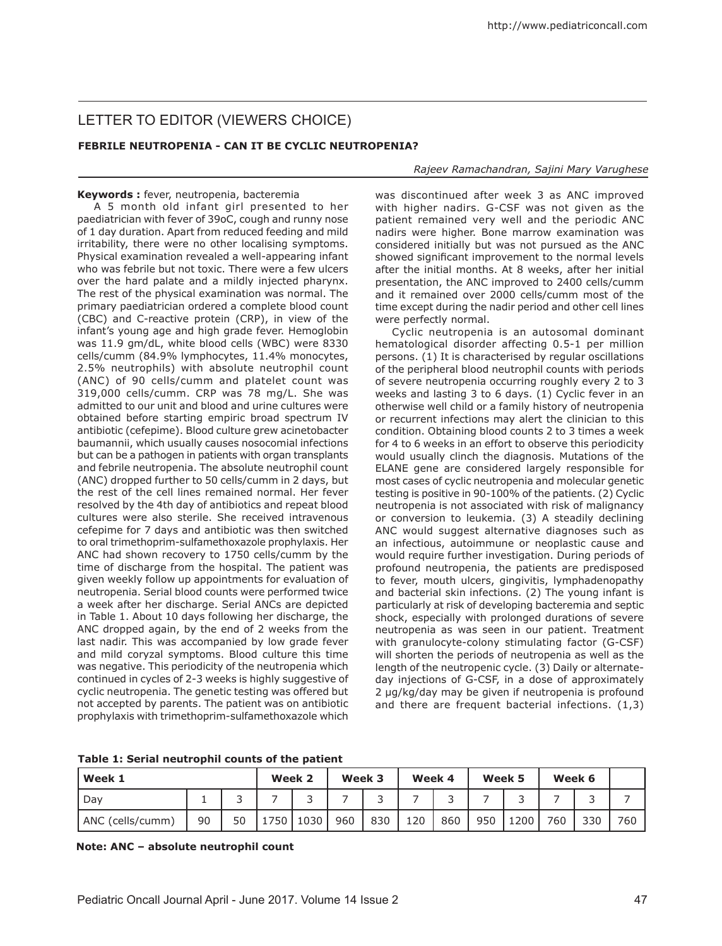# LETTER TO EDITOR (VIEWERS CHOICE)

# **FEBRILE NEUTROPENIA - CAN IT BE CYCLIC NEUTROPENIA?**

#### *Rajeev Ramachandran, Sajini Mary Varughese*

## **Keywords :** fever, neutropenia, bacteremia

A 5 month old infant girl presented to her paediatrician with fever of 39oC, cough and runny nose of 1 day duration. Apart from reduced feeding and mild irritability, there were no other localising symptoms. Physical examination revealed a well-appearing infant who was febrile but not toxic. There were a few ulcers over the hard palate and a mildly injected pharynx. The rest of the physical examination was normal. The primary paediatrician ordered a complete blood count (CBC) and C-reactive protein (CRP), in view of the infant's young age and high grade fever. Hemoglobin was 11.9 gm/dL, white blood cells (WBC) were 8330 cells/cumm (84.9% lymphocytes, 11.4% monocytes, 2.5% neutrophils) with absolute neutrophil count (ANC) of 90 cells/cumm and platelet count was 319,000 cells/cumm. CRP was 78 mg/L. She was admitted to our unit and blood and urine cultures were obtained before starting empiric broad spectrum IV antibiotic (cefepime). Blood culture grew acinetobacter baumannii, which usually causes nosocomial infections but can be a pathogen in patients with organ transplants and febrile neutropenia. The absolute neutrophil count (ANC) dropped further to 50 cells/cumm in 2 days, but the rest of the cell lines remained normal. Her fever resolved by the 4th day of antibiotics and repeat blood cultures were also sterile. She received intravenous cefepime for 7 days and antibiotic was then switched to oral trimethoprim-sulfamethoxazole prophylaxis. Her ANC had shown recovery to 1750 cells/cumm by the time of discharge from the hospital. The patient was given weekly follow up appointments for evaluation of neutropenia. Serial blood counts were performed twice a week after her discharge. Serial ANCs are depicted in Table 1. About 10 days following her discharge, the ANC dropped again, by the end of 2 weeks from the last nadir. This was accompanied by low grade fever and mild coryzal symptoms. Blood culture this time was negative. This periodicity of the neutropenia which continued in cycles of 2-3 weeks is highly suggestive of cyclic neutropenia. The genetic testing was offered but not accepted by parents. The patient was on antibiotic prophylaxis with trimethoprim-sulfamethoxazole which was discontinued after week 3 as ANC improved with higher nadirs. G-CSF was not given as the patient remained very well and the periodic ANC nadirs were higher. Bone marrow examination was considered initially but was not pursued as the ANC showed significant improvement to the normal levels after the initial months. At 8 weeks, after her initial presentation, the ANC improved to 2400 cells/cumm and it remained over 2000 cells/cumm most of the time except during the nadir period and other cell lines were perfectly normal.

Cyclic neutropenia is an autosomal dominant hematological disorder affecting 0.5-1 per million persons. (1) It is characterised by regular oscillations of the peripheral blood neutrophil counts with periods of severe neutropenia occurring roughly every 2 to 3 weeks and lasting 3 to 6 days. (1) Cyclic fever in an otherwise well child or a family history of neutropenia or recurrent infections may alert the clinician to this condition. Obtaining blood counts 2 to 3 times a week for 4 to 6 weeks in an effort to observe this periodicity would usually clinch the diagnosis. Mutations of the ELANE gene are considered largely responsible for most cases of cyclic neutropenia and molecular genetic testing is positive in 90-100% of the patients. (2) Cyclic neutropenia is not associated with risk of malignancy or conversion to leukemia. (3) A steadily declining ANC would suggest alternative diagnoses such as an infectious, autoimmune or neoplastic cause and would require further investigation. During periods of profound neutropenia, the patients are predisposed to fever, mouth ulcers, gingivitis, lymphadenopathy and bacterial skin infections. (2) The young infant is particularly at risk of developing bacteremia and septic shock, especially with prolonged durations of severe neutropenia as was seen in our patient. Treatment with granulocyte-colony stimulating factor (G-CSF) will shorten the periods of neutropenia as well as the length of the neutropenic cycle. (3) Daily or alternateday injections of G-CSF, in a dose of approximately 2 µg/kg/day may be given if neutropenia is profound and there are frequent bacterial infections. (1,3)

|  |  |  | Table 1: Serial neutrophil counts of the patient |
|--|--|--|--------------------------------------------------|
|--|--|--|--------------------------------------------------|

| Week 1           |    | Week 2 |      | Week 3                   |     | Week 4 |     | Week 5 |     | Week 6 |     |        |     |
|------------------|----|--------|------|--------------------------|-----|--------|-----|--------|-----|--------|-----|--------|-----|
| Dav              |    | ∽      |      | $\overline{\phantom{0}}$ |     |        |     |        |     | ັ      |     | ∽<br>ັ |     |
| ANC (cells/cumm) | 90 | 50     | 1750 | 1030                     | 960 | 830    | 120 | 860    | 950 | 1200   | 760 | 330    | 760 |

**Note: ANC – absolute neutrophil count**